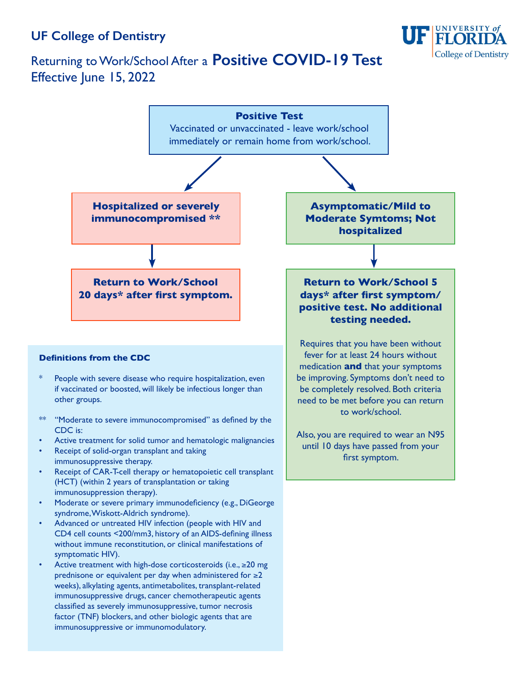## **UF College of Dentistry**

immunosuppressive or immunomodulatory.





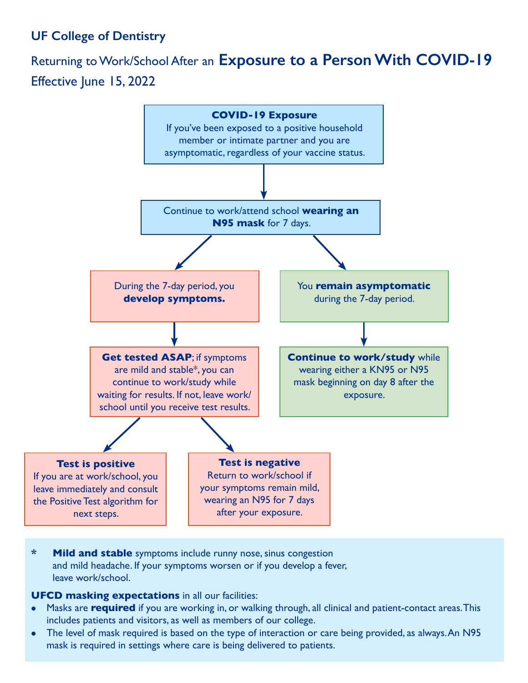## **UF College of Dentistry**

## Returning to Work/School After an **Exposure to a Person With COVID-19** Effective June 15, 2022



**\* Mild and stable** symptoms include runny nose, sinus congestion and mild headache. If your symptoms worsen or if you develop a fever, leave work/school.

**UFCD masking expectations** in all our facilities:

- Masks are **required** if you are working in, or walking through, all clinical and patient-contact areas. This includes patients and visitors, as well as members of our college.
- The level of mask required is based on the type of interaction or care being provided, as always. An N95 mask is required in settings where care is being delivered to patients.